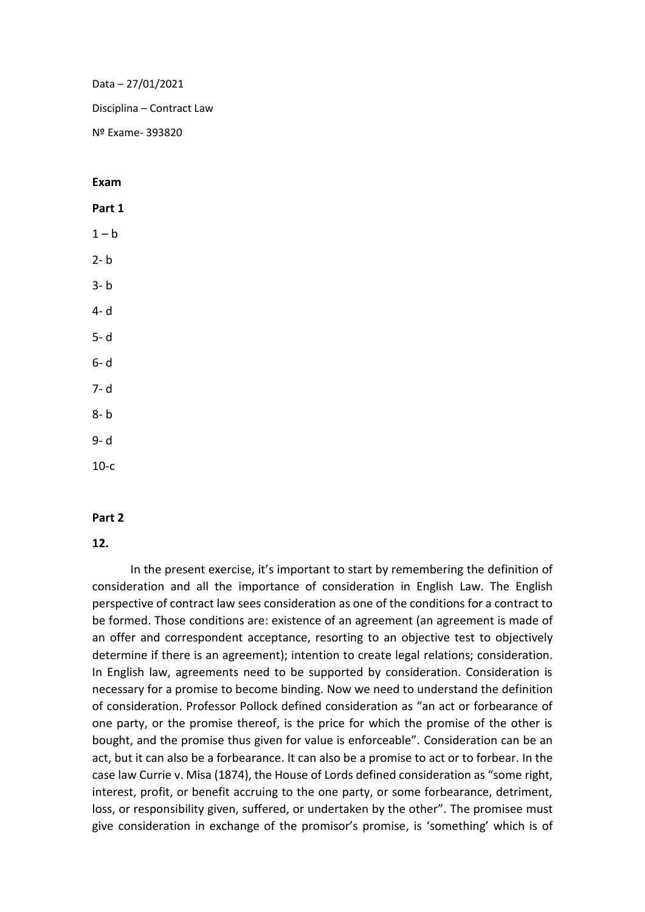Data – 27/01/2021 Disciplina – Contract Law Nº Exame- 393820

**Exam**

**Part 1**  $1 - h$  $2 - h$ 3- b 4- d 5- d 6- d 7- d 8- b 9- d 10-c

## **Part 2**

## **12.**

In the present exercise, it's important to start by remembering the definition of consideration and all the importance of consideration in English Law. The English perspective of contract law sees consideration as one of the conditions for a contract to be formed. Those conditions are: existence of an agreement (an agreement is made of an offer and correspondent acceptance, resorting to an objective test to objectively determine if there is an agreement); intention to create legal relations; consideration. In English law, agreements need to be supported by consideration. Consideration is necessary for a promise to become binding. Now we need to understand the definition of consideration. Professor Pollock defined consideration as "an act or forbearance of one party, or the promise thereof, is the price for which the promise of the other is bought, and the promise thus given for value is enforceable". Consideration can be an act, but it can also be a forbearance. It can also be a promise to act or to forbear. In the case law Currie v. Misa (1874), the House of Lords defined consideration as "some right, interest, profit, or benefit accruing to the one party, or some forbearance, detriment, loss, or responsibility given, suffered, or undertaken by the other". The promisee must give consideration in exchange of the promisor's promise, is 'something' which is of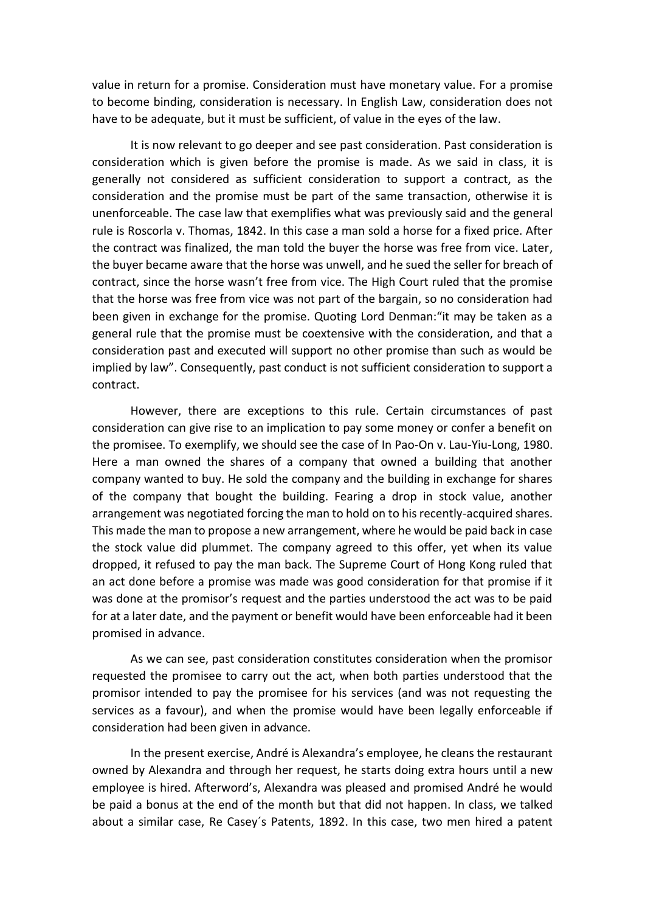value in return for a promise. Consideration must have monetary value. For a promise to become binding, consideration is necessary. In English Law, consideration does not have to be adequate, but it must be sufficient, of value in the eyes of the law.

It is now relevant to go deeper and see past consideration. Past consideration is consideration which is given before the promise is made. As we said in class, it is generally not considered as sufficient consideration to support a contract, as the consideration and the promise must be part of the same transaction, otherwise it is unenforceable. The case law that exemplifies what was previously said and the general rule is Roscorla v. Thomas, 1842. In this case a man sold a horse for a fixed price. After the contract was finalized, the man told the buyer the horse was free from vice. Later, the buyer became aware that the horse was unwell, and he sued the seller for breach of contract, since the horse wasn't free from vice. The High Court ruled that the promise that the horse was free from vice was not part of the bargain, so no consideration had been given in exchange for the promise. Quoting Lord Denman:"it may be taken as a general rule that the promise must be coextensive with the consideration, and that a consideration past and executed will support no other promise than such as would be implied by law". Consequently, past conduct is not sufficient consideration to support a contract.

However, there are exceptions to this rule. Certain circumstances of past consideration can give rise to an implication to pay some money or confer a benefit on the promisee. To exemplify, we should see the case of In Pao-On v. Lau-Yiu-Long, 1980. Here a man owned the shares of a company that owned a building that another company wanted to buy. He sold the company and the building in exchange for shares of the company that bought the building. Fearing a drop in stock value, another arrangement was negotiated forcing the man to hold on to his recently-acquired shares. This made the man to propose a new arrangement, where he would be paid back in case the stock value did plummet. The company agreed to this offer, yet when its value dropped, it refused to pay the man back. The Supreme Court of Hong Kong ruled that an act done before a promise was made was good consideration for that promise if it was done at the promisor's request and the parties understood the act was to be paid for at a later date, and the payment or benefit would have been enforceable had it been promised in advance.

As we can see, past consideration constitutes consideration when the promisor requested the promisee to carry out the act, when both parties understood that the promisor intended to pay the promisee for his services (and was not requesting the services as a favour), and when the promise would have been legally enforceable if consideration had been given in advance.

In the present exercise, André is Alexandra's employee, he cleans the restaurant owned by Alexandra and through her request, he starts doing extra hours until a new employee is hired. Afterword's, Alexandra was pleased and promised André he would be paid a bonus at the end of the month but that did not happen. In class, we talked about a similar case, Re Casey´s Patents, 1892. In this case, two men hired a patent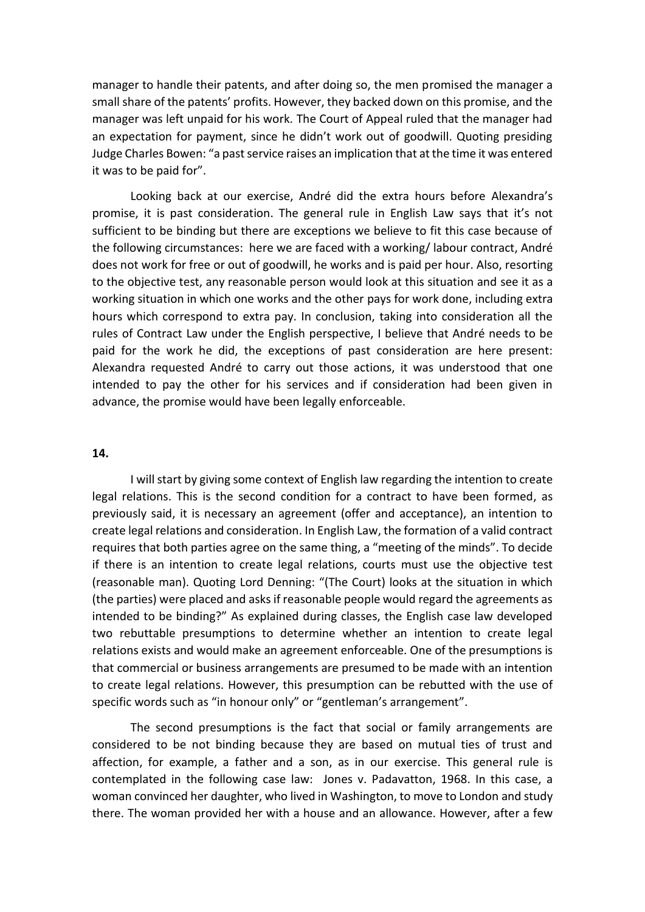manager to handle their patents, and after doing so, the men promised the manager a small share of the patents' profits. However, they backed down on this promise, and the manager was left unpaid for his work. The Court of Appeal ruled that the manager had an expectation for payment, since he didn't work out of goodwill. Quoting presiding Judge Charles Bowen: "a past service raises an implication that at the time it was entered it was to be paid for".

Looking back at our exercise, André did the extra hours before Alexandra's promise, it is past consideration. The general rule in English Law says that it's not sufficient to be binding but there are exceptions we believe to fit this case because of the following circumstances: here we are faced with a working/ labour contract, André does not work for free or out of goodwill, he works and is paid per hour. Also, resorting to the objective test, any reasonable person would look at this situation and see it as a working situation in which one works and the other pays for work done, including extra hours which correspond to extra pay. In conclusion, taking into consideration all the rules of Contract Law under the English perspective, I believe that André needs to be paid for the work he did, the exceptions of past consideration are here present: Alexandra requested André to carry out those actions, it was understood that one intended to pay the other for his services and if consideration had been given in advance, the promise would have been legally enforceable.

## **14.**

I will start by giving some context of English law regarding the intention to create legal relations. This is the second condition for a contract to have been formed, as previously said, it is necessary an agreement (offer and acceptance), an intention to create legal relations and consideration. In English Law, the formation of a valid contract requires that both parties agree on the same thing, a "meeting of the minds". To decide if there is an intention to create legal relations, courts must use the objective test (reasonable man). Quoting Lord Denning: "(The Court) looks at the situation in which (the parties) were placed and asks if reasonable people would regard the agreements as intended to be binding?" As explained during classes, the English case law developed two rebuttable presumptions to determine whether an intention to create legal relations exists and would make an agreement enforceable. One of the presumptions is that commercial or business arrangements are presumed to be made with an intention to create legal relations. However, this presumption can be rebutted with the use of specific words such as "in honour only" or "gentleman's arrangement".

The second presumptions is the fact that social or family arrangements are considered to be not binding because they are based on mutual ties of trust and affection, for example, a father and a son, as in our exercise. This general rule is contemplated in the following case law: Jones v. Padavatton, 1968. In this case, a woman convinced her daughter, who lived in Washington, to move to London and study there. The woman provided her with a house and an allowance. However, after a few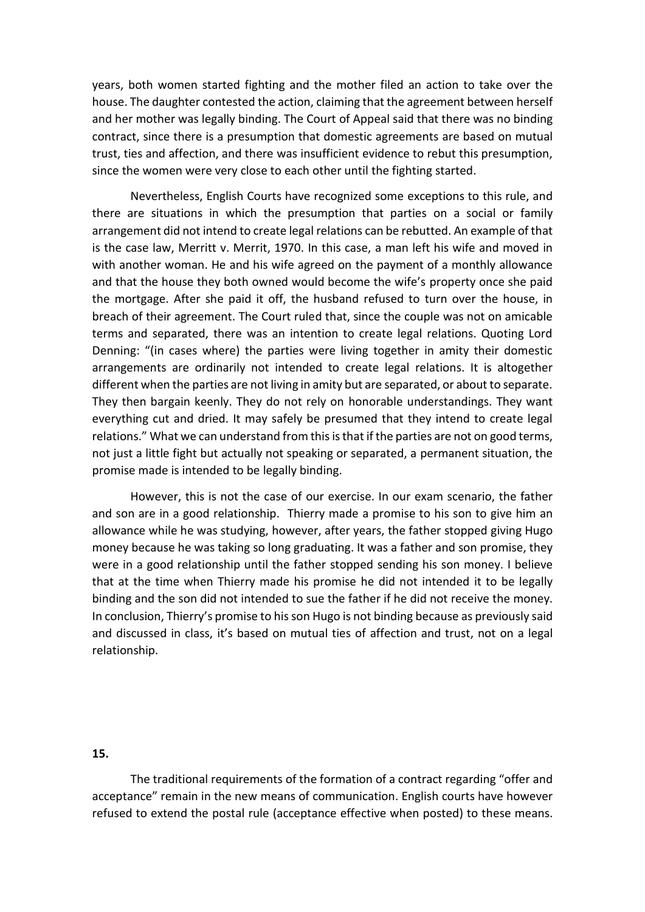years, both women started fighting and the mother filed an action to take over the house. The daughter contested the action, claiming that the agreement between herself and her mother was legally binding. The Court of Appeal said that there was no binding contract, since there is a presumption that domestic agreements are based on mutual trust, ties and affection, and there was insufficient evidence to rebut this presumption, since the women were very close to each other until the fighting started.

Nevertheless, English Courts have recognized some exceptions to this rule, and there are situations in which the presumption that parties on a social or family arrangement did not intend to create legal relations can be rebutted. An example of that is the case law, Merritt v. Merrit, 1970. In this case, a man left his wife and moved in with another woman. He and his wife agreed on the payment of a monthly allowance and that the house they both owned would become the wife's property once she paid the mortgage. After she paid it off, the husband refused to turn over the house, in breach of their agreement. The Court ruled that, since the couple was not on amicable terms and separated, there was an intention to create legal relations. Quoting Lord Denning: "(in cases where) the parties were living together in amity their domestic arrangements are ordinarily not intended to create legal relations. It is altogether different when the parties are not living in amity but are separated, or about to separate. They then bargain keenly. They do not rely on honorable understandings. They want everything cut and dried. It may safely be presumed that they intend to create legal relations." What we can understand from this is that if the parties are not on good terms, not just a little fight but actually not speaking or separated, a permanent situation, the promise made is intended to be legally binding.

However, this is not the case of our exercise. In our exam scenario, the father and son are in a good relationship. Thierry made a promise to his son to give him an allowance while he was studying, however, after years, the father stopped giving Hugo money because he was taking so long graduating. It was a father and son promise, they were in a good relationship until the father stopped sending his son money. I believe that at the time when Thierry made his promise he did not intended it to be legally binding and the son did not intended to sue the father if he did not receive the money. In conclusion, Thierry's promise to his son Hugo is not binding because as previously said and discussed in class, it's based on mutual ties of affection and trust, not on a legal relationship.

## **15.**

The traditional requirements of the formation of a contract regarding "offer and acceptance" remain in the new means of communication. English courts have however refused to extend the postal rule (acceptance effective when posted) to these means.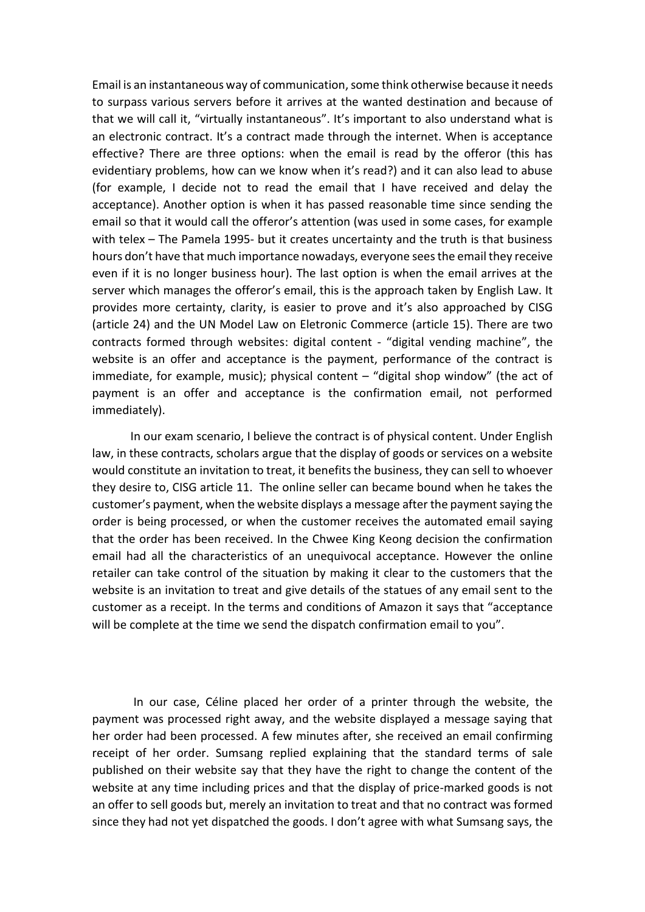Email is an instantaneous way of communication, some think otherwise because it needs to surpass various servers before it arrives at the wanted destination and because of that we will call it, "virtually instantaneous". It's important to also understand what is an electronic contract. It's a contract made through the internet. When is acceptance effective? There are three options: when the email is read by the offeror (this has evidentiary problems, how can we know when it's read?) and it can also lead to abuse (for example, I decide not to read the email that I have received and delay the acceptance). Another option is when it has passed reasonable time since sending the email so that it would call the offeror's attention (was used in some cases, for example with telex – The Pamela 1995- but it creates uncertainty and the truth is that business hours don't have that much importance nowadays, everyone sees the email they receive even if it is no longer business hour). The last option is when the email arrives at the server which manages the offeror's email, this is the approach taken by English Law. It provides more certainty, clarity, is easier to prove and it's also approached by CISG (article 24) and the UN Model Law on Eletronic Commerce (article 15). There are two contracts formed through websites: digital content - "digital vending machine", the website is an offer and acceptance is the payment, performance of the contract is immediate, for example, music); physical content  $-$  "digital shop window" (the act of payment is an offer and acceptance is the confirmation email, not performed immediately).

In our exam scenario, I believe the contract is of physical content. Under English law, in these contracts, scholars argue that the display of goods or services on a website would constitute an invitation to treat, it benefits the business, they can sell to whoever they desire to, CISG article 11. The online seller can became bound when he takes the customer's payment, when the website displays a message after the payment saying the order is being processed, or when the customer receives the automated email saying that the order has been received. In the Chwee King Keong decision the confirmation email had all the characteristics of an unequivocal acceptance. However the online retailer can take control of the situation by making it clear to the customers that the website is an invitation to treat and give details of the statues of any email sent to the customer as a receipt. In the terms and conditions of Amazon it says that "acceptance will be complete at the time we send the dispatch confirmation email to you".

In our case, Céline placed her order of a printer through the website, the payment was processed right away, and the website displayed a message saying that her order had been processed. A few minutes after, she received an email confirming receipt of her order. Sumsang replied explaining that the standard terms of sale published on their website say that they have the right to change the content of the website at any time including prices and that the display of price-marked goods is not an offer to sell goods but, merely an invitation to treat and that no contract was formed since they had not yet dispatched the goods. I don't agree with what Sumsang says, the